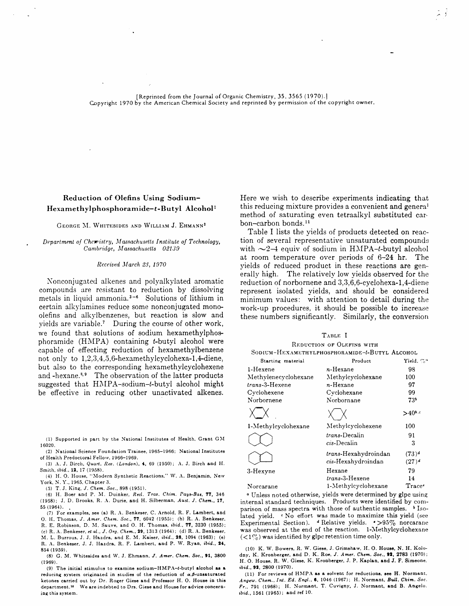[Reprinted from the Journal of Organic Chemistry, 35, 3565 (1970).] Copyright 1970 by the American Chemical Society and reprinted by permission of the copyright owner.

# Reduction of Olefins Using Sodium-Hexamethylphosphoramide-t-Butyl Alcohol<sup>1</sup>

# GEORGE M. WHITESIDES AND WILLIAM J. EHMANN<sup>2</sup>

#### Department of Chemistry, Massachusetts Institute of Technology, Cambridge, Massachusetts 02139

## Received March 23, 1970

Nonconjugated alkenes and polyalkylated aromatic compounds are resistant to reduction by dissolving metals in liquid ammonia.<sup>3-6</sup> Solutions of lithium in certain alkylamines reduce some nonconjugated monoolefins and alkylbenzenes, but reaction is slow and yields are variable.<sup>7</sup> During the course of other work, we found that solutions of sodium hexamethylphosphoramide (HMPA) containing t-butyl alcohol were capable of effecting reduction of hexamethylbenzene not only to 1,2,3,4,5,6-hexamethylcyclohexa-1,4-diene, but also to the corresponding hexamethylcyclohexene and -hexane.<sup>3,9</sup> The observation of the latter products suggested that HMPA-sodium-t-butyl alcohol might be effective in reducing other unactivated alkenes.

(1) Supported in part by the National Institutes of Health, Grant GM 16020.

(2) National Science Foundation Trainee, 1965-1966; National Institutes of Health Predoctoral Fellow, 1966-1969.

(3) A. J. Birch, Quart. Rev. (London), 4, 69 (1950); A. J. Birch and H. Smith. ibid., 12, 17 (1958).

(4) H. O. House, "Modern Synthetic Reactions." W. A. Benjamin, New York, N.Y., 1965, Chapter 3.

(5) T. J. King, J. Chem. Soc., 898 (1951).

(6) H. Boer and P. M. Duinker, Recl. Trav. Chim. Pays-Bas, 77, 346 (1958); J. D. Brooks, R. A. Durie, and H. Silberman, Aust. J. Chem., 17, 55 (1964).

(7) For examples, see (a) R. A. Benkeser, C. Arnold, R. F. Lambert, and O. H. Thomas, J. Amer. Chem. Soc., 77, 6042 (1955); (b) R. A. Benkeser, R. E. Robinson, D. M. Sauve, and O. H. Thomas, ibid., 77, 3230 (1955); (c) R. A. Benkeser, et al., J. Org. Chem., 29, 1313 (1964); (d) R. A. Benkeser,

M. L. Burrous, J. J. Hazdra, and E. M. Kaiser, ibid., 28, 1094 (1963); (e) R. A. Benkeser, J. J. Hazdra, R. F. Lambert, and P. W. Ryan, ibid., 24, 854 (1959).

(8) G. M. Whitesides and W. J. Ehmann, J. Amer. Chem. Soc., 91, 3800  $(1969).$ 

(9) The initial stimulus to examine sodium-HMPA-t-butyl alcohol as a reducing system originated in studies of the reduction of  $\alpha$ , $\beta$ -unsaturated ketones carried out by Dr. Roger Giese and Professor H. O. House in this department.<sup>10</sup> We are indebted to Drs. Giese and House for advice concerning this system.

Here we wish to describe experiments indicating that this reducing mixture provides a convenient and general method of saturating even tetraalkyl substituted carbon-carbon bonds.<sup>11</sup>

Table I lists the yields of products detected on reaction of several representative unsaturated compounds with  $\sim$ 2-4 equiv of sodium in HMPA-t-butyl alcohol at room temperature over periods of 6-24 hr. The yields of reduced product in these reactions are generally high. The relatively low yields observed for the reduction of norbornene and 3,3,6,6-cyclohexa-1,4-diene represent isolated yields, and should be considered minimum values: with attention to detail during the work-up procedures, it should be possible to increase these numbers significantly. Similarly, the conversion

|                      | L'ARLE I                                       |                      |
|----------------------|------------------------------------------------|----------------------|
|                      | REDUCTION OF OLEFINS WITH                      |                      |
|                      | SODIUM-HEXAMETHYLPHOSPHORAMIDE-t-BUTYL ALCOHOL |                      |
| Starting material    | Product                                        | Yield, $\%$ "        |
| 1-Hexene             | n-Hexane                                       | 98                   |
| Methylenecyclohexane | Methylcyclohexane                              | 100                  |
| trans-3-Hexene       | n-Hexane                                       | 97                   |
| Cyclohexene          | Cyclohexane                                    | 99                   |
| Norbornene           | Norbornane                                     | 73,                  |
|                      |                                                | $>40^{6.6}$          |
| 1-Methylcyclohexane  | Methylcyclohexene                              | 100                  |
|                      | trans-Decalin<br>cis-Decalin                   | 91<br>3              |
|                      |                                                |                      |
|                      | trans-Hexahydroindan<br>cis-Hexahydroindan     | $(73)^d$<br>$(27)^d$ |
| 3-Hexyne             | Hexane                                         | 79                   |
|                      | <i>trans-3-</i> Hexene                         | 14                   |
| Norcarane            | 1-Methylcyclohexane                            | Trace <sup>•</sup>   |

<sup>a</sup> Unless noted otherwise, yields were determined by glpc using internal standard techniques. Products were identified by comparison of mass spectra with those of authentic samples. b Isolated vield. "No effort was made to maximize this yield (see Experimental Section). <sup>4</sup> Relative yields. • >95% norcarane was observed at the end of the reaction. 1-Methylcyclohexane  $(<$ 1%) was identified by glpc retention time only.

(10) K. W. Bowers, R. W. Giese, J. Grimshaw, H. O. House, N. H. Kolodny, K. Kronberger, and D. K. Roe, J. Amer. Chem. Soc., 92, 2783 (1970); H. O. House, R. W. Giese, K. Kronberger, J. P. Kaplan, and J. F. Simeone, ibid., 92, 2800 (1970).

(11) For reviews of HMPA as a solvent for reductions, see H. Normant, Angew. Chem., Int. Ed. Engl., 6, 1046 (1967); H. Normant, Bull. Chim. Soc. Fr., 791 (1968); H. Normant, T. Cuvigny, J. Normant, and B. Angelo. ibid., 1561 (1965); and ref 10.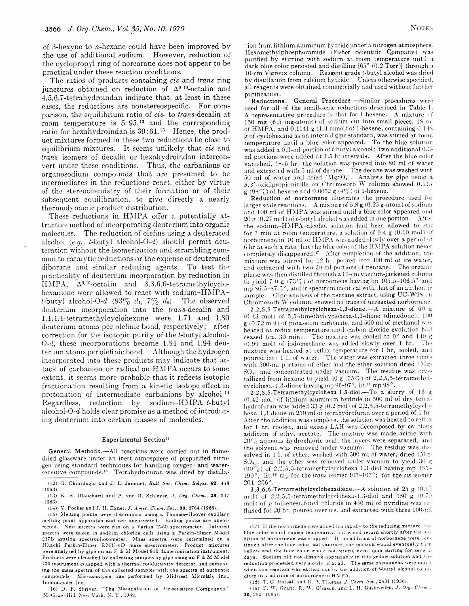of 3-hexyne to *n*-hexane could have been improved by the use of additional sodium. However, reduction of the cyclopropyl ring of norcarane does not appear to be practical under these reaction conditions.

The ratios of products containing cis and trans ring junctures obtained on reduction of  $\Delta^{9,10}$ -octalin and 4.5.6.7-tetrahydroindan indicate that, at least in these cases, the reductions are nonstereospecific. For comparison, the equilibrium ratio of cis- to trans-decalin at room temperature is  $5:95<sup>12</sup>$  and the corresponding ratio for hexahydroindan is 39:61.<sup>13</sup> Hence, the product mixtures formed in these two reductions lie close to equilibrium mixtures. It seems unlikely that cis and *trans* isomers of decalin or hexahydroindan interconvert under these conditions. Thus, the carbanions or organosodium compounds that are presumed to be intermediates in the reductions react, either by virtue of the stereochemistry of their formation or of their subsequent equilibration, to give directly a nearly thermodynamic product distribution.

These reductions in HMPA offer a potentially attractive method of incorporating deuterium into organic molecules. The reduction of olefins using a deuterated alcohol  $(e.g., t\text{-butyl alcohol-O-}d)$  should permit deuteration without the isomerization and scrambling common to catalytic reductions or the expense of deuterated diborane and similar reducing agents. To test the practicality of deuterium incorporation by reduction in HMPA.  $\Delta^{9,10}$ -octalin and 3,3,6,6-tetramethylcyclohexadiene were allowed to react with sodium-HMPA*t*-butyl alcohol-O- $d(93\% d_1, 7\% d_0)$ . The observed deuterium incorporation into the trans-decalin and 1,1,4,4-tetramethylcyclohexane were 1.71 and 1.80 deuterium atoms per olefinic bond, respectively; after correction for the isotopic purity of the *t*-butyl alcohol- $O-d$ , these incorporations become 1.84 and 1.94 deuterium atoms per olefinic bond. Although the hydrogen incorporated into these products may indicate that attack of carbanion or radical on HMPA occurs to some extent, it seems more probable that it reflects isotopic fractionation resulting from a kinetic isotope effect in protonation of intermediate carbanions by alcohol.<sup>14</sup> Regardless, reduction by sodium-HMPA-t-butyl alcohol-O- $d$  holds clear promise as a method of introducing deuterium into certain classes of molecules.

## Experimental Section<sup>15</sup>

General Methods.-All reactions were carried out in flamedried glassware under an inert atmosphere of prepurified nitrogen using standard techniques for handling oxygen- and watersensitive compounds.<sup>16</sup> Tetrahydrofuran was dried by distillation from lithium aluminum hydride under a nitrogen atmosphere. Hexamethylphosphoramide (Fisher Scientific Company) was purified by stirring with sodium at room temperature until a dark blue color persisted and distilling [65° (0.2 Torr)] through a 10-em Vigreux column. Reagent grade t-butyl alcohol was dried by distillation from calcium hydride. Unless otherwise specified, all reagents were obtained commercially and used without further purification.

General Procedure.-Similar procedures were Reductions. used for all of the small-scale reductions described in Table I. A representative procedure is that for 1-hexene. A mixture of 150 mg (6.5 mg-atoms) of sodium cut into small pieces, 18 ml of HMPA, and 0.1141 g (1.4 mmol) of 1-hexene, containing 0.145 g of cyclohexane as an internal glpc standard, was stirred at room temperature until a blue color appeared. To the blue solution was added a 0.3-ml portion of t-butyl alcohol; two additional 0.3ml portions were added at 1.5 hr intervals. After the blue color vanished,  $(\sim 6 \text{ hr})$  the solution was poured into 80 ml of water and extracted with 5 ml of decane. The decane was washed with 50 ml of water and dried  $(MgSO_4)$ . Analysis by glpc using a  $\beta$ ,  $\beta'$ -oxidipropionitrile on Chromosorb W column showed 0.115  $g(95\%)$  of hexane and 0.0052  $g(4\%)$  of 1-hexene.

Reduction of norbornene illustrates the procedure used for larger scale reactions. A mixture of 5.8  $g(0.25 g$ -atom) of sodium and 100 ml of HMPA was stirred until a blue color appeared and 20  $g(0.27 \text{ mol})$  of t-butyl alcohol was added in one portion. After the sodium-HMPA-alcohol solution had been allowed to stir for 5 min at room temperature, a solution of 9.4  $g$  (0.10 mol) of norbornene in 10 ml of HMPA was added slowly over a period of 6 hr at such a rate that the blue color of the HMPA solution never completely disappeared.<sup>17</sup> After completion of the addition, the mixture was stirred for 12 hr, poured into 400 ml of ice water, and extracted with two 20-ml portions of pentane. The organic phase was then distilled through a 10-cm vacuum-jacketed column to yield 7.0 g (73%) of norbornene having bp 105.5-106.5° and mp 86.5-87.5°, and ir spectrum identical with that of an authentic sample. Glpc analysis of the pentane extract, using UC-W98 on Chromosorb W column, showed no trace of unreacted norbornene.

2,2,5,5-Tetramethylcyclohexa-1,3-dione. $-A$  mixture of 60 g  $(0.43 \text{ mol})$  of 5,5-dimethylcyclohexa-1,3-dione (dimedone),  $100$ g (0.72 mol) of potassium carbonate, and 500 ml of methanol was heated at reflux temperature until carbon dioxide evolution had ceased (ca. 30 min). The mixture was cooled to  $0^{\circ}$  and 140 g (0.99 mol) of iodomethane was added slowly over 1 hr. The mixture was heated at reflux temperature for 1 hr, cooled, and poured into 1.1 of water. The water was extracted three times with 500-ml portions of ether and the ether solution dried (Mg- $SO_4$ ) and concentrated under vacuum. The residue was crystallized from hexane to yield 40 g (55%) of 2,2,5,5-tetramethylcyclohexa-1,3-dione having mp 96-97°, lit.<sup>18</sup> mp 98°.

2,2,5,5-Tetramethylcyclohexa-1,3-diol.-To a slurry of 16 g (0.42 mol) of lithium aluminum hydride in 500 ml of dry tetrahydrofuran was added 33  $g(0.2 \text{ mol})$  of 2,2,5,5-tetramethylcyclohexa-1,3-dione in 250 ml of tetrahydrofuran over a period of 1 hr. After the addition was complete, the solution was heated to reflux for 1 hr, cooled, and excess LAH was decomposed by cautious addition of ethyl acetate. The mixture was made acidic with  $20\%$  aqueous hydrochloric acid, the layers were separated, and the solvent was removed under vacuum. The residue was dissolved in 11. of ether, washed with 500 ml of water, dried (Mg- $SO_4$ ), and the ether was removed under vacuum to yield 30 g (90 $\%$ ) of 2,2,5,5-tetramethylcyclohexa-1,3-diol having mp 185-190°; lit.<sup>19</sup> mp for the trans isomer 105-107°; for the cis isomer  $201 - 206^{\circ}$ 

3,3,6,6-Tetramethylcyclohexadiene. $-A$  solution of 25 g (0.15) mol) of 2,2,5,5-tetramethylcyclohexa-1,3-diol and 150  $g(0.79)$ mol) of p-toluenesulfonyl chloride in 450 ml of pyridine was refluxed for 20 hr, poured over ice, and extracted with three 100-ml

<sup>(12)</sup> G. Chiurdoglu and J. L. Jaminet, Bull Soc. Chim. Belges, 62, 448  $(1953).$ 

<sup>(13)</sup> K. R. Blanchard and P. von R. Schleyer, J. Org. Chem., 28, 247  $(1963)$ .

 $(14)$  Y. Pocker and J. H. Exner. J. Amer. Chem. Soc., 90, 6764 (1968).

<sup>(15)</sup> Melting points were determined using a Thomas-Hoover capillary melting point apparatus and are uncorrected. Boiling points are uncorrected. Nmr spectra were run on a Varian T-60 spectrometer. Infrared spectra were taken in sodium chloride cells using a Perkin-Elmer Model 237B grating spectrophotometer. Mass spectra were determined on a Hitachi Perkin-Elmer RMU-6D mass spectrometer. Product mixtures were analyzed by glpc on an F & M Model 810 flame ionization instrument. Products were identified by collecting samples by glpc using an F & M Model 720 instrument equipped with a thermal conductivity detector, and comparing the mass spectra of the collected samples with the spectra of authentic compounds. Microanalysis was performed by Midwest Microlab, Inc., Indianapolis, Ind.

<sup>(16)</sup> D. F. Shriver, "The Manipulation of Air-sensitive Compounds," McGraw-Hill, New York, N.Y., 1969.

<sup>(17)</sup> If the norbornene were added too rapidly to the reducing mixture, the blue color would vanish temporarily, but would return shortly after the addition of norbornene was stooped. If the addition of norbornene were continued after the blue color had vanished, the solution would eventually turn yellow and the blue color would not return, even upon stirring for several days. Sodium did not dissolve appreciably in this yellow solution and the reduction proceeded very slowly, if at all. The same phenomena were noted when the reaction was carried out by the addition of *t*-butyl alcohol to sodium in a solution of norbornene in HMPA.

<sup>(18)</sup> T. G. Halsall and D. B. Thomas, J. Chem. Soc., 2431 (1956).

<sup>(19)</sup> F. W. Grant, R. W. Gleason, and L. H. Bushwellen, J. Org. Chem. 30, 290 (1965).